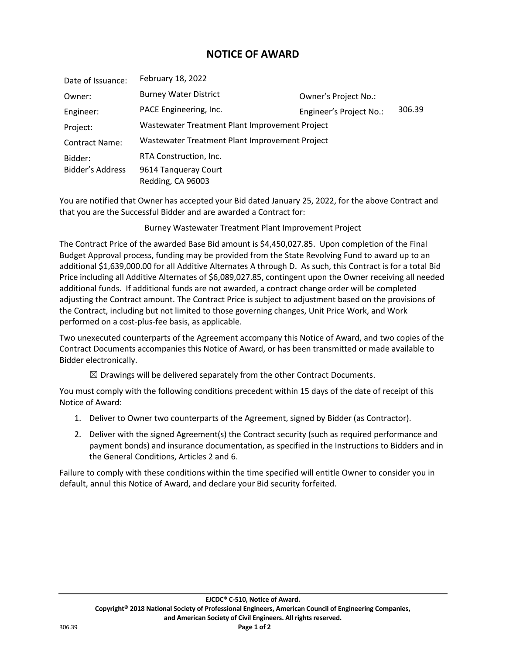## **NOTICE OF AWARD**

| Date of Issuance:     | February 18, 2022                              |                         |        |
|-----------------------|------------------------------------------------|-------------------------|--------|
| Owner:                | <b>Burney Water District</b>                   | Owner's Project No.:    |        |
| Engineer:             | PACE Engineering, Inc.                         | Engineer's Project No.: | 306.39 |
| Project:              | Wastewater Treatment Plant Improvement Project |                         |        |
| <b>Contract Name:</b> | Wastewater Treatment Plant Improvement Project |                         |        |
| Bidder:               | RTA Construction, Inc.                         |                         |        |
| Bidder's Address      | 9614 Tanqueray Court<br>Redding, CA 96003      |                         |        |

You are notified that Owner has accepted your Bid dated January 25, 2022, for the above Contract and that you are the Successful Bidder and are awarded a Contract for:

Burney Wastewater Treatment Plant Improvement Project

The Contract Price of the awarded Base Bid amount is \$4,450,027.85. Upon completion of the Final Budget Approval process, funding may be provided from the State Revolving Fund to award up to an additional \$1,639,000.00 for all Additive Alternates A through D. As such, this Contract is for a total Bid Price including all Additive Alternates of \$6,089,027.85, contingent upon the Owner receiving all needed additional funds. If additional funds are not awarded, a contract change order will be completed adjusting the Contract amount. The Contract Price is subject to adjustment based on the provisions of the Contract, including but not limited to those governing changes, Unit Price Work, and Work performed on a cost-plus-fee basis, as applicable.

Two unexecuted counterparts of the Agreement accompany this Notice of Award, and two copies of the Contract Documents accompanies this Notice of Award, or has been transmitted or made available to Bidder electronically.

 $\boxtimes$  Drawings will be delivered separately from the other Contract Documents.

You must comply with the following conditions precedent within 15 days of the date of receipt of this Notice of Award:

- 1. Deliver to Owner two counterparts of the Agreement, signed by Bidder (as Contractor).
- 2. Deliver with the signed Agreement(s) the Contract security (such as required performance and payment bonds) and insurance documentation, as specified in the Instructions to Bidders and in the General Conditions, Articles 2 and 6.

Failure to comply with these conditions within the time specified will entitle Owner to consider you in default, annul this Notice of Award, and declare your Bid security forfeited.